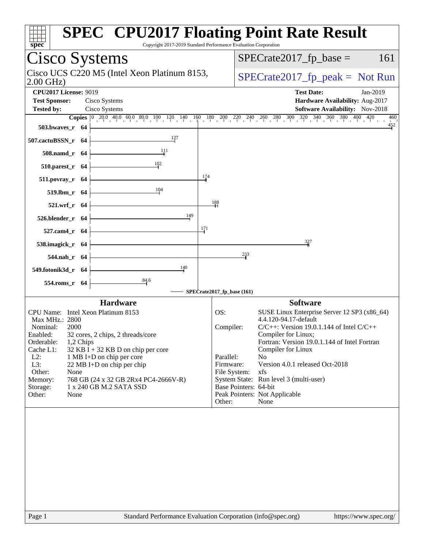| spec                                                                                   | <b>SPEC<sup>®</sup> CPU2017 Floating Point Rate Result</b><br>Copyright 2017-2019 Standard Performance Evaluation Corporation                                                        |
|----------------------------------------------------------------------------------------|--------------------------------------------------------------------------------------------------------------------------------------------------------------------------------------|
| Cisco Systems                                                                          | $SPECrate2017_fp\_base =$<br>161                                                                                                                                                     |
| Cisco UCS C220 M5 (Intel Xeon Platinum 8153,<br>$2.00$ GHz)                            | $SPECrate2017_fp\_peak = Not Run$                                                                                                                                                    |
| <b>CPU2017 License: 9019</b><br><b>Test Sponsor:</b><br>Cisco Systems                  | <b>Test Date:</b><br>Jan-2019<br>Hardware Availability: Aug-2017                                                                                                                     |
| <b>Tested by:</b><br>Cisco Systems                                                     | Software Availability: Nov-2018                                                                                                                                                      |
| 503.bwaves_r 64                                                                        | <b>Copies</b> $\begin{bmatrix} 0 & 20 & 0 & 40 & 0 & 80 & 100 & 120 & 140 & 160 & 180 & 200 & 220 & 240 & 260 & 280 & 300 & 320 & 340 & 360 & 400 & 420 \end{bmatrix}$<br>460<br>452 |
| 507.cactuBSSN_r 64                                                                     |                                                                                                                                                                                      |
| 111<br>508.namd_r 64                                                                   |                                                                                                                                                                                      |
| 102<br>510.parest_r 64                                                                 |                                                                                                                                                                                      |
| $\frac{174}{2}$<br>511.povray_r 64                                                     |                                                                                                                                                                                      |
| 104<br>519.lbm_r 64                                                                    |                                                                                                                                                                                      |
| 521.wrf_r 64                                                                           | $\frac{188}{1}$                                                                                                                                                                      |
| 149<br>526.blender_r 64                                                                |                                                                                                                                                                                      |
| 171<br>527.cam4_r 64                                                                   |                                                                                                                                                                                      |
| 538.imagick_r 64                                                                       | 327<br>233                                                                                                                                                                           |
| 544.nab_r 64<br>140                                                                    |                                                                                                                                                                                      |
| 549.fotonik3d_r 64<br>$\frac{84.6}{7}$                                                 |                                                                                                                                                                                      |
| 554.roms_r 64                                                                          | SPECrate2017_fp_base (161)                                                                                                                                                           |
| <b>Hardware</b>                                                                        | <b>Software</b>                                                                                                                                                                      |
| CPU Name: Intel Xeon Platinum 8153<br>Max MHz.: 2800                                   | OS:<br>SUSE Linux Enterprise Server 12 SP3 (x86_64)<br>4.4.120-94.17-default                                                                                                         |
| Nominal:<br>2000                                                                       | Compiler:<br>$C/C++$ : Version 19.0.1.144 of Intel $C/C++$                                                                                                                           |
| 32 cores, 2 chips, 2 threads/core<br>Enabled:<br>Orderable:<br>1,2 Chips               | Compiler for Linux;<br>Fortran: Version 19.0.1.144 of Intel Fortran                                                                                                                  |
| Cache L1:<br>$32$ KB I + 32 KB D on chip per core                                      | Compiler for Linux<br>Parallel:<br>N <sub>o</sub>                                                                                                                                    |
| $L2$ :<br>1 MB I+D on chip per core<br>L3:<br>22 MB I+D on chip per chip               | Version 4.0.1 released Oct-2018<br>Firmware:                                                                                                                                         |
| Other:<br>None                                                                         | File System:<br>xfs                                                                                                                                                                  |
| 768 GB (24 x 32 GB 2Rx4 PC4-2666V-R)<br>Memory:<br>1 x 240 GB M.2 SATA SSD<br>Storage: | System State: Run level 3 (multi-user)<br>Base Pointers: 64-bit                                                                                                                      |
| Other:<br>None                                                                         | Peak Pointers: Not Applicable                                                                                                                                                        |
|                                                                                        | None<br>Other:                                                                                                                                                                       |
|                                                                                        |                                                                                                                                                                                      |
|                                                                                        |                                                                                                                                                                                      |
|                                                                                        |                                                                                                                                                                                      |
|                                                                                        |                                                                                                                                                                                      |
|                                                                                        |                                                                                                                                                                                      |
| Page 1                                                                                 | Standard Performance Evaluation Corporation (info@spec.org)<br>https://www.spec.org/                                                                                                 |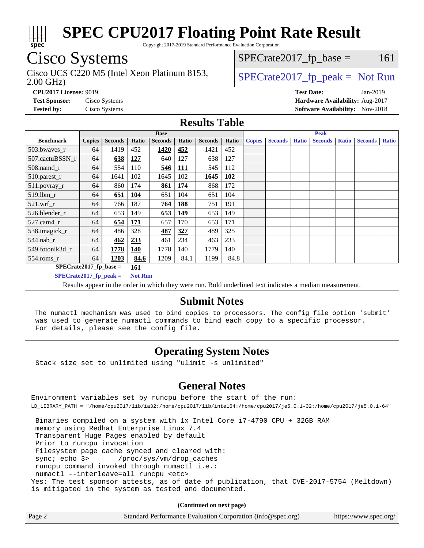

Copyright 2017-2019 Standard Performance Evaluation Corporation

# Cisco Systems

2.00 GHz) Cisco UCS C220 M5 (Intel Xeon Platinum 8153,  $\vert$  [SPECrate2017\\_fp\\_peak =](http://www.spec.org/auto/cpu2017/Docs/result-fields.html#SPECrate2017fppeak) Not Run

 $SPECTate2017<sub>fr</sub> base = 161$ 

**[CPU2017 License:](http://www.spec.org/auto/cpu2017/Docs/result-fields.html#CPU2017License)** 9019 **[Test Date:](http://www.spec.org/auto/cpu2017/Docs/result-fields.html#TestDate)** Jan-2019 **[Test Sponsor:](http://www.spec.org/auto/cpu2017/Docs/result-fields.html#TestSponsor)** Cisco Systems **[Hardware Availability:](http://www.spec.org/auto/cpu2017/Docs/result-fields.html#HardwareAvailability)** Aug-2017 **[Tested by:](http://www.spec.org/auto/cpu2017/Docs/result-fields.html#Testedby)** Cisco Systems **[Software Availability:](http://www.spec.org/auto/cpu2017/Docs/result-fields.html#SoftwareAvailability)** Nov-2018

#### **[Results Table](http://www.spec.org/auto/cpu2017/Docs/result-fields.html#ResultsTable)**

|                          | <b>Base</b>   |                |                |                | <b>Peak</b> |                |            |               |                |              |                |              |                |              |
|--------------------------|---------------|----------------|----------------|----------------|-------------|----------------|------------|---------------|----------------|--------------|----------------|--------------|----------------|--------------|
| <b>Benchmark</b>         | <b>Copies</b> | <b>Seconds</b> | Ratio          | <b>Seconds</b> | Ratio       | <b>Seconds</b> | Ratio      | <b>Copies</b> | <b>Seconds</b> | <b>Ratio</b> | <b>Seconds</b> | <b>Ratio</b> | <b>Seconds</b> | <b>Ratio</b> |
| 503.bwayes_r             | 64            | 1419           | 452            | 1420           | 452         | 1421           | 452        |               |                |              |                |              |                |              |
| 507.cactuBSSN r          | 64            | 638            | 127            | 640            | 127         | 638            | 127        |               |                |              |                |              |                |              |
| $508$ .namd $r$          | 64            | 554            | 110            | 546            | <b>111</b>  | 545            | 112        |               |                |              |                |              |                |              |
| 510.parest_r             | 64            | 1641           | 102            | 1645           | 102         | 1645           | <b>102</b> |               |                |              |                |              |                |              |
| 511.povray_r             | 64            | 860            | 174            | 861            | 174         | 868            | 172        |               |                |              |                |              |                |              |
| 519.lbm_r                | 64            | 651            | 104            | 651            | 104         | 651            | 104        |               |                |              |                |              |                |              |
| $521$ .wrf r             | 64            | 766            | 187            | 764            | <b>188</b>  | 751            | 191        |               |                |              |                |              |                |              |
| 526.blender r            | 64            | 653            | 149            | 653            | 149         | 653            | 149        |               |                |              |                |              |                |              |
| $527$ .cam $4r$          | 64            | 654            | 171            | 657            | 170         | 653            | 171        |               |                |              |                |              |                |              |
| 538.imagick_r            | 64            | 486            | 328            | 487            | 327         | 489            | 325        |               |                |              |                |              |                |              |
| $544$ .nab r             | 64            | 462            | 233            | 461            | 234         | 463            | 233        |               |                |              |                |              |                |              |
| 549.fotonik3d r          | 64            | 1778           | <b>140</b>     | 1778           | 140         | 1779           | 140        |               |                |              |                |              |                |              |
| $554$ .roms_r            | 64            | 1203           | 84.6           | 1209           | 84.1        | 1199           | 84.8       |               |                |              |                |              |                |              |
| $SPECrate2017$ fp base = |               |                | 161            |                |             |                |            |               |                |              |                |              |                |              |
| $SPECrate2017_fp_peak =$ |               |                | <b>Not Run</b> |                |             |                |            |               |                |              |                |              |                |              |

Results appear in the [order in which they were run.](http://www.spec.org/auto/cpu2017/Docs/result-fields.html#RunOrder) Bold underlined text [indicates a median measurement.](http://www.spec.org/auto/cpu2017/Docs/result-fields.html#Median)

#### **[Submit Notes](http://www.spec.org/auto/cpu2017/Docs/result-fields.html#SubmitNotes)**

 The numactl mechanism was used to bind copies to processors. The config file option 'submit' was used to generate numactl commands to bind each copy to a specific processor. For details, please see the config file.

#### **[Operating System Notes](http://www.spec.org/auto/cpu2017/Docs/result-fields.html#OperatingSystemNotes)**

Stack size set to unlimited using "ulimit -s unlimited"

#### **[General Notes](http://www.spec.org/auto/cpu2017/Docs/result-fields.html#GeneralNotes)**

Environment variables set by runcpu before the start of the run: LD\_LIBRARY\_PATH = "/home/cpu2017/lib/ia32:/home/cpu2017/lib/intel64:/home/cpu2017/je5.0.1-32:/home/cpu2017/je5.0.1-64"

 Binaries compiled on a system with 1x Intel Core i7-4790 CPU + 32GB RAM memory using Redhat Enterprise Linux 7.4 Transparent Huge Pages enabled by default Prior to runcpu invocation Filesystem page cache synced and cleared with: sync; echo 3> /proc/sys/vm/drop\_caches runcpu command invoked through numactl i.e.: numactl --interleave=all runcpu <etc> Yes: The test sponsor attests, as of date of publication, that CVE-2017-5754 (Meltdown) is mitigated in the system as tested and documented.

**(Continued on next page)**

| Page 2<br>Standard Performance Evaluation Corporation (info@spec.org) | https://www.spec.org/ |
|-----------------------------------------------------------------------|-----------------------|
|-----------------------------------------------------------------------|-----------------------|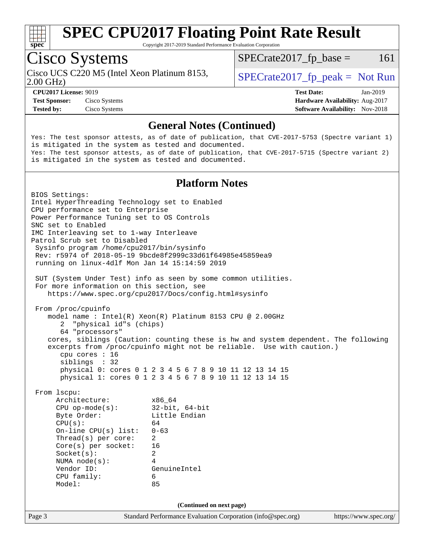

Copyright 2017-2019 Standard Performance Evaluation Corporation

# Cisco Systems

2.00 GHz) Cisco UCS C220 M5 (Intel Xeon Platinum 8153,  $\vert$  [SPECrate2017\\_fp\\_peak =](http://www.spec.org/auto/cpu2017/Docs/result-fields.html#SPECrate2017fppeak) Not Run

 $SPECTate2017<sub>fr</sub> base = 161$ 

**[Test Sponsor:](http://www.spec.org/auto/cpu2017/Docs/result-fields.html#TestSponsor)** Cisco Systems **[Hardware Availability:](http://www.spec.org/auto/cpu2017/Docs/result-fields.html#HardwareAvailability)** Aug-2017 **[Tested by:](http://www.spec.org/auto/cpu2017/Docs/result-fields.html#Testedby)** Cisco Systems **[Software Availability:](http://www.spec.org/auto/cpu2017/Docs/result-fields.html#SoftwareAvailability)** Nov-2018

**[CPU2017 License:](http://www.spec.org/auto/cpu2017/Docs/result-fields.html#CPU2017License)** 9019 **[Test Date:](http://www.spec.org/auto/cpu2017/Docs/result-fields.html#TestDate)** Jan-2019

#### **[General Notes \(Continued\)](http://www.spec.org/auto/cpu2017/Docs/result-fields.html#GeneralNotes)**

Yes: The test sponsor attests, as of date of publication, that CVE-2017-5753 (Spectre variant 1) is mitigated in the system as tested and documented. Yes: The test sponsor attests, as of date of publication, that CVE-2017-5715 (Spectre variant 2) is mitigated in the system as tested and documented.

#### **[Platform Notes](http://www.spec.org/auto/cpu2017/Docs/result-fields.html#PlatformNotes)**

Page 3 Standard Performance Evaluation Corporation [\(info@spec.org\)](mailto:info@spec.org) <https://www.spec.org/> BIOS Settings: Intel HyperThreading Technology set to Enabled CPU performance set to Enterprise Power Performance Tuning set to OS Controls SNC set to Enabled IMC Interleaving set to 1-way Interleave Patrol Scrub set to Disabled Sysinfo program /home/cpu2017/bin/sysinfo Rev: r5974 of 2018-05-19 9bcde8f2999c33d61f64985e45859ea9 running on linux-4dlf Mon Jan 14 15:14:59 2019 SUT (System Under Test) info as seen by some common utilities. For more information on this section, see <https://www.spec.org/cpu2017/Docs/config.html#sysinfo> From /proc/cpuinfo model name : Intel(R) Xeon(R) Platinum 8153 CPU @ 2.00GHz 2 "physical id"s (chips) 64 "processors" cores, siblings (Caution: counting these is hw and system dependent. The following excerpts from /proc/cpuinfo might not be reliable. Use with caution.) cpu cores : 16 siblings : 32 physical 0: cores 0 1 2 3 4 5 6 7 8 9 10 11 12 13 14 15 physical 1: cores 0 1 2 3 4 5 6 7 8 9 10 11 12 13 14 15 From lscpu: Architecture: x86\_64 CPU op-mode(s): 32-bit, 64-bit Byte Order: Little Endian  $CPU(s):$  64 On-line CPU(s) list: 0-63 Thread(s) per core: 2 Core(s) per socket: 16 Socket(s): 2 NUMA node(s): 4 Vendor ID: GenuineIntel CPU family: 6 Model: 85 **(Continued on next page)**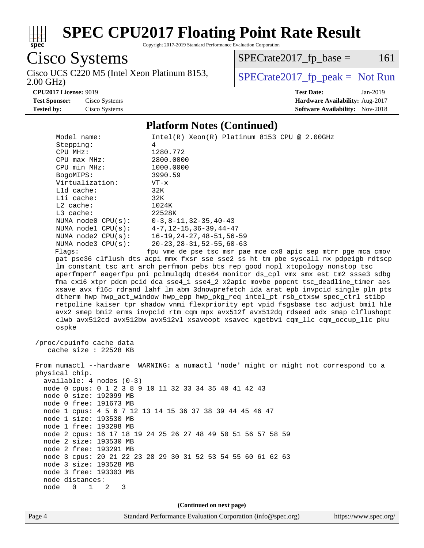

Copyright 2017-2019 Standard Performance Evaluation Corporation

Cisco Systems 2.00 GHz) Cisco UCS C220 M5 (Intel Xeon Platinum 8153,  $\big|$  [SPECrate2017\\_fp\\_peak =](http://www.spec.org/auto/cpu2017/Docs/result-fields.html#SPECrate2017fppeak) Not Run

 $SPECrate2017_fp\_base = 161$ 

**[CPU2017 License:](http://www.spec.org/auto/cpu2017/Docs/result-fields.html#CPU2017License)** 9019 **[Test Date:](http://www.spec.org/auto/cpu2017/Docs/result-fields.html#TestDate)** Jan-2019 **[Test Sponsor:](http://www.spec.org/auto/cpu2017/Docs/result-fields.html#TestSponsor)** Cisco Systems **[Hardware Availability:](http://www.spec.org/auto/cpu2017/Docs/result-fields.html#HardwareAvailability)** Aug-2017 **[Tested by:](http://www.spec.org/auto/cpu2017/Docs/result-fields.html#Testedby)** Cisco Systems **[Software Availability:](http://www.spec.org/auto/cpu2017/Docs/result-fields.html#SoftwareAvailability)** Nov-2018

#### **[Platform Notes \(Continued\)](http://www.spec.org/auto/cpu2017/Docs/result-fields.html#PlatformNotes)**

| Model name:<br>Stepping:<br>CPU MHz:<br>$CPU$ $max$ $MHz$ :<br>CPU min MHz:<br>BogoMIPS:<br>Virtualization:<br>L1d cache:<br>Lli cache:<br>$L2$ cache:<br>L3 cache:<br>NUMA node0 CPU(s): 0-3,8-11,32-35,40-43<br>NUMA $node1$ $CPU(s):$<br>NUMA $node2$ $CPU(s):$<br>NUMA $node3$ $CPU(s):$<br>Flagg: | $Intel(R) Xeon(R) Platinum 8153 CPU @ 2.00GHz$<br>4<br>1280.772<br>2800.0000<br>1000.0000<br>3990.59<br>$VT - x$<br>32K<br>32K<br>1024K<br>22528K<br>4-7,12-15,36-39,44-47<br>16-19, 24-27, 48-51, 56-59<br>$20 - 23$ , $28 - 31$ , $52 - 55$ , $60 - 63$<br>fpu vme de pse tsc msr pae mce cx8 apic sep mtrr pge mca cmov<br>pat pse36 clflush dts acpi mmx fxsr sse sse2 ss ht tm pbe syscall nx pdpelgb rdtscp<br>lm constant_tsc art arch_perfmon pebs bts rep_good nopl xtopology nonstop_tsc<br>aperfmperf eagerfpu pni pclmulqdq dtes64 monitor ds_cpl vmx smx est tm2 ssse3 sdbg<br>fma cx16 xtpr pdcm pcid dca sse4_1 sse4_2 x2apic movbe popcnt tsc_deadline_timer aes<br>xsave avx f16c rdrand lahf_lm abm 3dnowprefetch ida arat epb invpcid_single pln pts |
|--------------------------------------------------------------------------------------------------------------------------------------------------------------------------------------------------------------------------------------------------------------------------------------------------------|-------------------------------------------------------------------------------------------------------------------------------------------------------------------------------------------------------------------------------------------------------------------------------------------------------------------------------------------------------------------------------------------------------------------------------------------------------------------------------------------------------------------------------------------------------------------------------------------------------------------------------------------------------------------------------------------------------------------------------------------------------------------------|
| ospke                                                                                                                                                                                                                                                                                                  | dtherm hwp hwp_act_window hwp_epp hwp_pkg_req intel_pt rsb_ctxsw spec_ctrl stibp<br>retpoline kaiser tpr_shadow vnmi flexpriority ept vpid fsgsbase tsc_adjust bmil hle<br>avx2 smep bmi2 erms invpcid rtm cqm mpx avx512f avx512dq rdseed adx smap clflushopt<br>clwb avx512cd avx512bw avx512vl xsaveopt xsavec xgetbvl cqm_llc cqm_occup_llc pku                                                                                                                                                                                                                                                                                                                                                                                                                     |
| /proc/cpuinfo cache data<br>cache size : 22528 KB                                                                                                                                                                                                                                                      |                                                                                                                                                                                                                                                                                                                                                                                                                                                                                                                                                                                                                                                                                                                                                                         |
| physical chip.<br>$available: 4 nodes (0-3)$<br>node 0 size: 192099 MB<br>node 0 free: 191673 MB                                                                                                                                                                                                       | From numactl --hardware WARNING: a numactl 'node' might or might not correspond to a<br>node 0 cpus: 0 1 2 3 8 9 10 11 32 33 34 35 40 41 42 43<br>node 1 cpus: 4 5 6 7 12 13 14 15 36 37 38 39 44 45 46 47                                                                                                                                                                                                                                                                                                                                                                                                                                                                                                                                                              |
| node 1 size: 193530 MB<br>node 1 free: 193298 MB<br>node 2 size: 193530 MB<br>node 2 free: 193291 MB                                                                                                                                                                                                   | node 2 cpus: 16 17 18 19 24 25 26 27 48 49 50 51 56 57 58 59<br>node 3 cpus: 20 21 22 23 28 29 30 31 52 53 54 55 60 61 62 63                                                                                                                                                                                                                                                                                                                                                                                                                                                                                                                                                                                                                                            |
| node 3 size: 193528 MB<br>node 3 free: 193303 MB<br>node distances:<br>$0\quad 1$<br>node<br>2<br>3                                                                                                                                                                                                    |                                                                                                                                                                                                                                                                                                                                                                                                                                                                                                                                                                                                                                                                                                                                                                         |
|                                                                                                                                                                                                                                                                                                        | (Continued on next page)                                                                                                                                                                                                                                                                                                                                                                                                                                                                                                                                                                                                                                                                                                                                                |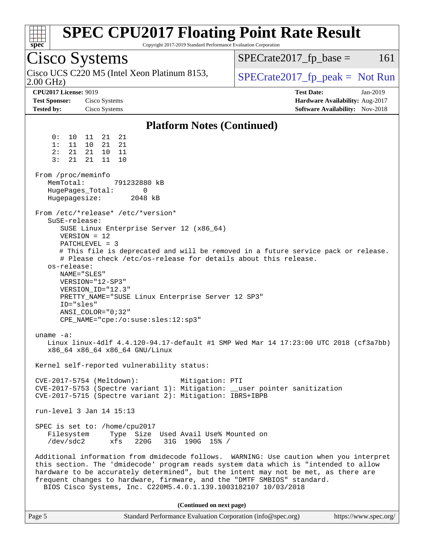| $spec^*$                                                                  | <b>SPEC CPU2017 Floating Point Rate Result</b><br>Copyright 2017-2019 Standard Performance Evaluation Corporation                                                                                                                                                                                                                                                     |                                                                                                     |
|---------------------------------------------------------------------------|-----------------------------------------------------------------------------------------------------------------------------------------------------------------------------------------------------------------------------------------------------------------------------------------------------------------------------------------------------------------------|-----------------------------------------------------------------------------------------------------|
| <b>Cisco Systems</b>                                                      |                                                                                                                                                                                                                                                                                                                                                                       | 161<br>$SPECrate2017fr base =$                                                                      |
| $2.00$ GHz)                                                               | Cisco UCS C220 M5 (Intel Xeon Platinum 8153,                                                                                                                                                                                                                                                                                                                          | $SPECrate2017_fp\_peak = Not Run$                                                                   |
| <b>CPU2017 License: 9019</b><br><b>Test Sponsor:</b><br><b>Tested by:</b> | Cisco Systems<br>Cisco Systems                                                                                                                                                                                                                                                                                                                                        | <b>Test Date:</b><br>Jan-2019<br>Hardware Availability: Aug-2017<br>Software Availability: Nov-2018 |
|                                                                           | <b>Platform Notes (Continued)</b>                                                                                                                                                                                                                                                                                                                                     |                                                                                                     |
| 0 :<br>10<br>1:<br>11<br>2:<br>21<br>3:<br>21<br>From /proc/meminfo       | 11<br>21<br>21<br>21<br>21<br>10<br>21<br>10<br>11<br>21<br>11<br>10                                                                                                                                                                                                                                                                                                  |                                                                                                     |
| MemTotal:<br>HugePages_Total:<br>Hugepagesize:                            | 791232880 kB<br>0<br>2048 kB                                                                                                                                                                                                                                                                                                                                          |                                                                                                     |
| SuSE-release:<br>os-release:<br>ID="sles"                                 | From /etc/*release* /etc/*version*<br>SUSE Linux Enterprise Server 12 (x86_64)<br>$VERSION = 12$<br>$PATCHLEVEL = 3$<br># Please check /etc/os-release for details about this release.<br>NAME="SLES"<br>VERSION="12-SP3"<br>VERSION_ID="12.3"<br>PRETTY_NAME="SUSE Linux Enterprise Server 12 SP3"<br>$ANSI$ _COLOR=" $0:32$ "<br>CPE_NAME="cpe:/o:suse:sles:12:sp3" | # This file is deprecated and will be removed in a future service pack or release.                  |
| $uname -a$ :                                                              | x86_64 x86_64 x86_64 GNU/Linux                                                                                                                                                                                                                                                                                                                                        | Linux linux-4dlf 4.4.120-94.17-default #1 SMP Wed Mar 14 17:23:00 UTC 2018 (cf3a7bb)                |
|                                                                           | Kernel self-reported vulnerability status:                                                                                                                                                                                                                                                                                                                            |                                                                                                     |
|                                                                           | CVE-2017-5754 (Meltdown):<br>Mitigation: PTI<br>CVE-2017-5753 (Spectre variant 1): Mitigation: __user pointer sanitization<br>CVE-2017-5715 (Spectre variant 2): Mitigation: IBRS+IBPB                                                                                                                                                                                |                                                                                                     |
|                                                                           | run-level 3 Jan 14 15:13                                                                                                                                                                                                                                                                                                                                              |                                                                                                     |
| Filesystem<br>/dev/sdc2                                                   | SPEC is set to: /home/cpu2017<br>Type Size Used Avail Use% Mounted on<br>xfs<br>220G<br>31G 190G 15% /                                                                                                                                                                                                                                                                |                                                                                                     |
|                                                                           | this section. The 'dmidecode' program reads system data which is "intended to allow<br>hardware to be accurately determined", but the intent may not be met, as there are<br>frequent changes to hardware, firmware, and the "DMTF SMBIOS" standard.<br>BIOS Cisco Systems, Inc. C220M5.4.0.1.139.1003182107 10/03/2018                                               | Additional information from dmidecode follows. WARNING: Use caution when you interpret              |
|                                                                           | (Continued on next page)                                                                                                                                                                                                                                                                                                                                              |                                                                                                     |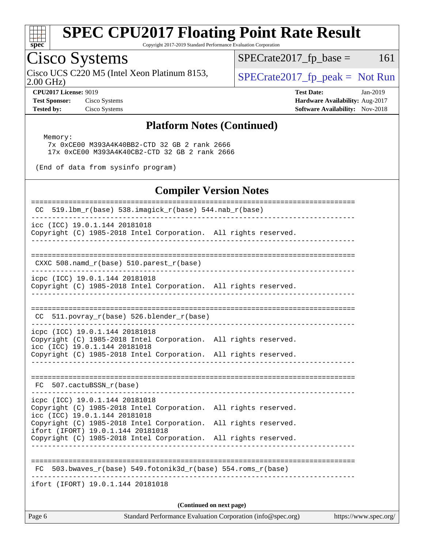

Copyright 2017-2019 Standard Performance Evaluation Corporation

# Cisco Systems

Cisco UCS C220 M5 (Intel Xeon Platinum 8153,  $\vert$  [SPECrate2017\\_fp\\_peak =](http://www.spec.org/auto/cpu2017/Docs/result-fields.html#SPECrate2017fppeak) Not Run

 $SPECTate2017<sub>fr</sub> base = 161$ 

2.00 GHz)

**[Tested by:](http://www.spec.org/auto/cpu2017/Docs/result-fields.html#Testedby)** Cisco Systems **[Software Availability:](http://www.spec.org/auto/cpu2017/Docs/result-fields.html#SoftwareAvailability)** Nov-2018

**[CPU2017 License:](http://www.spec.org/auto/cpu2017/Docs/result-fields.html#CPU2017License)** 9019 **[Test Date:](http://www.spec.org/auto/cpu2017/Docs/result-fields.html#TestDate)** Jan-2019 **[Test Sponsor:](http://www.spec.org/auto/cpu2017/Docs/result-fields.html#TestSponsor)** Cisco Systems **[Hardware Availability:](http://www.spec.org/auto/cpu2017/Docs/result-fields.html#HardwareAvailability)** Aug-2017

#### **[Platform Notes \(Continued\)](http://www.spec.org/auto/cpu2017/Docs/result-fields.html#PlatformNotes)**

Memory:

 7x 0xCE00 M393A4K40BB2-CTD 32 GB 2 rank 2666 17x 0xCE00 M393A4K40CB2-CTD 32 GB 2 rank 2666

(End of data from sysinfo program)

#### **[Compiler Version Notes](http://www.spec.org/auto/cpu2017/Docs/result-fields.html#CompilerVersionNotes)** ============================================================================== CC 519.1bm  $r(base)$  538.imagick  $r(base)$  544.nab  $r(base)$ ----------------------------------------------------------------------------- icc (ICC) 19.0.1.144 20181018 Copyright (C) 1985-2018 Intel Corporation. All rights reserved. ------------------------------------------------------------------------------ ============================================================================== CXXC 508.namd\_r(base) 510.parest\_r(base) ----------------------------------------------------------------------------- icpc (ICC) 19.0.1.144 20181018 Copyright (C) 1985-2018 Intel Corporation. All rights reserved. ------------------------------------------------------------------------------ ============================================================================== CC 511.povray\_r(base) 526.blender\_r(base) ----------------------------------------------------------------------------- icpc (ICC) 19.0.1.144 20181018 Copyright (C) 1985-2018 Intel Corporation. All rights reserved. icc (ICC) 19.0.1.144 20181018 Copyright (C) 1985-2018 Intel Corporation. All rights reserved. ------------------------------------------------------------------------------ ============================================================================== FC 507.cactuBSSN\_r(base) ----------------------------------------------------------------------------- icpc (ICC) 19.0.1.144 20181018 Copyright (C) 1985-2018 Intel Corporation. All rights reserved. icc (ICC) 19.0.1.144 20181018 Copyright (C) 1985-2018 Intel Corporation. All rights reserved. ifort (IFORT) 19.0.1.144 20181018 Copyright (C) 1985-2018 Intel Corporation. All rights reserved. ------------------------------------------------------------------------------ ==============================================================================  $FC 503.bwaves_r(base) 549.fotonik3d_r(base) 554.roms_r(base)$ ----------------------------------------------------------------------------- ifort (IFORT) 19.0.1.144 20181018

**(Continued on next page)**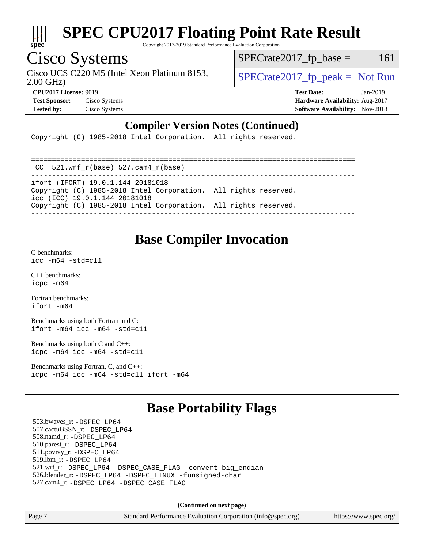

Copyright 2017-2019 Standard Performance Evaluation Corporation

# Cisco Systems

Cisco UCS C220 M5 (Intel Xeon Platinum 8153,  $\vert$  [SPECrate2017\\_fp\\_peak =](http://www.spec.org/auto/cpu2017/Docs/result-fields.html#SPECrate2017fppeak) Not Run

 $SPECTate2017<sub>fr</sub> base = 161$ 

2.00 GHz)

**[Test Sponsor:](http://www.spec.org/auto/cpu2017/Docs/result-fields.html#TestSponsor)** Cisco Systems **[Hardware Availability:](http://www.spec.org/auto/cpu2017/Docs/result-fields.html#HardwareAvailability)** Aug-2017

**[CPU2017 License:](http://www.spec.org/auto/cpu2017/Docs/result-fields.html#CPU2017License)** 9019 **[Test Date:](http://www.spec.org/auto/cpu2017/Docs/result-fields.html#TestDate)** Jan-2019 **[Tested by:](http://www.spec.org/auto/cpu2017/Docs/result-fields.html#Testedby)** Cisco Systems **[Software Availability:](http://www.spec.org/auto/cpu2017/Docs/result-fields.html#SoftwareAvailability)** Nov-2018

#### **[Compiler Version Notes \(Continued\)](http://www.spec.org/auto/cpu2017/Docs/result-fields.html#CompilerVersionNotes)**

|  |  |  | Copyright (C) 1985-2018 Intel Corporation. All rights reserved. |  |  |  |  |
|--|--|--|-----------------------------------------------------------------|--|--|--|--|
|--|--|--|-----------------------------------------------------------------|--|--|--|--|

| CC $521.wrf$ $r(base)$ $527.cam4$ $r(base)$                                                      |  |
|--------------------------------------------------------------------------------------------------|--|
| ifort (IFORT) 19.0.1.144 20181018                                                                |  |
| Copyright (C) 1985-2018 Intel Corporation. All rights reserved.<br>icc (ICC) 19.0.1.144 20181018 |  |
| Copyright (C) 1985-2018 Intel Corporation. All rights reserved.                                  |  |

## **[Base Compiler Invocation](http://www.spec.org/auto/cpu2017/Docs/result-fields.html#BaseCompilerInvocation)**

[C benchmarks](http://www.spec.org/auto/cpu2017/Docs/result-fields.html#Cbenchmarks): [icc -m64 -std=c11](http://www.spec.org/cpu2017/results/res2019q1/cpu2017-20190122-10817.flags.html#user_CCbase_intel_icc_64bit_c11_33ee0cdaae7deeeab2a9725423ba97205ce30f63b9926c2519791662299b76a0318f32ddfffdc46587804de3178b4f9328c46fa7c2b0cd779d7a61945c91cd35)

[C++ benchmarks:](http://www.spec.org/auto/cpu2017/Docs/result-fields.html#CXXbenchmarks) [icpc -m64](http://www.spec.org/cpu2017/results/res2019q1/cpu2017-20190122-10817.flags.html#user_CXXbase_intel_icpc_64bit_4ecb2543ae3f1412ef961e0650ca070fec7b7afdcd6ed48761b84423119d1bf6bdf5cad15b44d48e7256388bc77273b966e5eb805aefd121eb22e9299b2ec9d9)

[Fortran benchmarks](http://www.spec.org/auto/cpu2017/Docs/result-fields.html#Fortranbenchmarks): [ifort -m64](http://www.spec.org/cpu2017/results/res2019q1/cpu2017-20190122-10817.flags.html#user_FCbase_intel_ifort_64bit_24f2bb282fbaeffd6157abe4f878425411749daecae9a33200eee2bee2fe76f3b89351d69a8130dd5949958ce389cf37ff59a95e7a40d588e8d3a57e0c3fd751)

[Benchmarks using both Fortran and C](http://www.spec.org/auto/cpu2017/Docs/result-fields.html#BenchmarksusingbothFortranandC): [ifort -m64](http://www.spec.org/cpu2017/results/res2019q1/cpu2017-20190122-10817.flags.html#user_CC_FCbase_intel_ifort_64bit_24f2bb282fbaeffd6157abe4f878425411749daecae9a33200eee2bee2fe76f3b89351d69a8130dd5949958ce389cf37ff59a95e7a40d588e8d3a57e0c3fd751) [icc -m64 -std=c11](http://www.spec.org/cpu2017/results/res2019q1/cpu2017-20190122-10817.flags.html#user_CC_FCbase_intel_icc_64bit_c11_33ee0cdaae7deeeab2a9725423ba97205ce30f63b9926c2519791662299b76a0318f32ddfffdc46587804de3178b4f9328c46fa7c2b0cd779d7a61945c91cd35)

[Benchmarks using both C and C++](http://www.spec.org/auto/cpu2017/Docs/result-fields.html#BenchmarksusingbothCandCXX): [icpc -m64](http://www.spec.org/cpu2017/results/res2019q1/cpu2017-20190122-10817.flags.html#user_CC_CXXbase_intel_icpc_64bit_4ecb2543ae3f1412ef961e0650ca070fec7b7afdcd6ed48761b84423119d1bf6bdf5cad15b44d48e7256388bc77273b966e5eb805aefd121eb22e9299b2ec9d9) [icc -m64 -std=c11](http://www.spec.org/cpu2017/results/res2019q1/cpu2017-20190122-10817.flags.html#user_CC_CXXbase_intel_icc_64bit_c11_33ee0cdaae7deeeab2a9725423ba97205ce30f63b9926c2519791662299b76a0318f32ddfffdc46587804de3178b4f9328c46fa7c2b0cd779d7a61945c91cd35)

[Benchmarks using Fortran, C, and C++:](http://www.spec.org/auto/cpu2017/Docs/result-fields.html#BenchmarksusingFortranCandCXX) [icpc -m64](http://www.spec.org/cpu2017/results/res2019q1/cpu2017-20190122-10817.flags.html#user_CC_CXX_FCbase_intel_icpc_64bit_4ecb2543ae3f1412ef961e0650ca070fec7b7afdcd6ed48761b84423119d1bf6bdf5cad15b44d48e7256388bc77273b966e5eb805aefd121eb22e9299b2ec9d9) [icc -m64 -std=c11](http://www.spec.org/cpu2017/results/res2019q1/cpu2017-20190122-10817.flags.html#user_CC_CXX_FCbase_intel_icc_64bit_c11_33ee0cdaae7deeeab2a9725423ba97205ce30f63b9926c2519791662299b76a0318f32ddfffdc46587804de3178b4f9328c46fa7c2b0cd779d7a61945c91cd35) [ifort -m64](http://www.spec.org/cpu2017/results/res2019q1/cpu2017-20190122-10817.flags.html#user_CC_CXX_FCbase_intel_ifort_64bit_24f2bb282fbaeffd6157abe4f878425411749daecae9a33200eee2bee2fe76f3b89351d69a8130dd5949958ce389cf37ff59a95e7a40d588e8d3a57e0c3fd751)

### **[Base Portability Flags](http://www.spec.org/auto/cpu2017/Docs/result-fields.html#BasePortabilityFlags)**

 503.bwaves\_r: [-DSPEC\\_LP64](http://www.spec.org/cpu2017/results/res2019q1/cpu2017-20190122-10817.flags.html#suite_basePORTABILITY503_bwaves_r_DSPEC_LP64) 507.cactuBSSN\_r: [-DSPEC\\_LP64](http://www.spec.org/cpu2017/results/res2019q1/cpu2017-20190122-10817.flags.html#suite_basePORTABILITY507_cactuBSSN_r_DSPEC_LP64) 508.namd\_r: [-DSPEC\\_LP64](http://www.spec.org/cpu2017/results/res2019q1/cpu2017-20190122-10817.flags.html#suite_basePORTABILITY508_namd_r_DSPEC_LP64) 510.parest\_r: [-DSPEC\\_LP64](http://www.spec.org/cpu2017/results/res2019q1/cpu2017-20190122-10817.flags.html#suite_basePORTABILITY510_parest_r_DSPEC_LP64) 511.povray\_r: [-DSPEC\\_LP64](http://www.spec.org/cpu2017/results/res2019q1/cpu2017-20190122-10817.flags.html#suite_basePORTABILITY511_povray_r_DSPEC_LP64) 519.lbm\_r: [-DSPEC\\_LP64](http://www.spec.org/cpu2017/results/res2019q1/cpu2017-20190122-10817.flags.html#suite_basePORTABILITY519_lbm_r_DSPEC_LP64) 521.wrf\_r: [-DSPEC\\_LP64](http://www.spec.org/cpu2017/results/res2019q1/cpu2017-20190122-10817.flags.html#suite_basePORTABILITY521_wrf_r_DSPEC_LP64) [-DSPEC\\_CASE\\_FLAG](http://www.spec.org/cpu2017/results/res2019q1/cpu2017-20190122-10817.flags.html#b521.wrf_r_baseCPORTABILITY_DSPEC_CASE_FLAG) [-convert big\\_endian](http://www.spec.org/cpu2017/results/res2019q1/cpu2017-20190122-10817.flags.html#user_baseFPORTABILITY521_wrf_r_convert_big_endian_c3194028bc08c63ac5d04de18c48ce6d347e4e562e8892b8bdbdc0214820426deb8554edfa529a3fb25a586e65a3d812c835984020483e7e73212c4d31a38223) 526.blender\_r: [-DSPEC\\_LP64](http://www.spec.org/cpu2017/results/res2019q1/cpu2017-20190122-10817.flags.html#suite_basePORTABILITY526_blender_r_DSPEC_LP64) [-DSPEC\\_LINUX](http://www.spec.org/cpu2017/results/res2019q1/cpu2017-20190122-10817.flags.html#b526.blender_r_baseCPORTABILITY_DSPEC_LINUX) [-funsigned-char](http://www.spec.org/cpu2017/results/res2019q1/cpu2017-20190122-10817.flags.html#user_baseCPORTABILITY526_blender_r_force_uchar_40c60f00ab013830e2dd6774aeded3ff59883ba5a1fc5fc14077f794d777847726e2a5858cbc7672e36e1b067e7e5c1d9a74f7176df07886a243d7cc18edfe67) 527.cam4\_r: [-DSPEC\\_LP64](http://www.spec.org/cpu2017/results/res2019q1/cpu2017-20190122-10817.flags.html#suite_basePORTABILITY527_cam4_r_DSPEC_LP64) [-DSPEC\\_CASE\\_FLAG](http://www.spec.org/cpu2017/results/res2019q1/cpu2017-20190122-10817.flags.html#b527.cam4_r_baseCPORTABILITY_DSPEC_CASE_FLAG)

**(Continued on next page)**

Page 7 Standard Performance Evaluation Corporation [\(info@spec.org\)](mailto:info@spec.org) <https://www.spec.org/>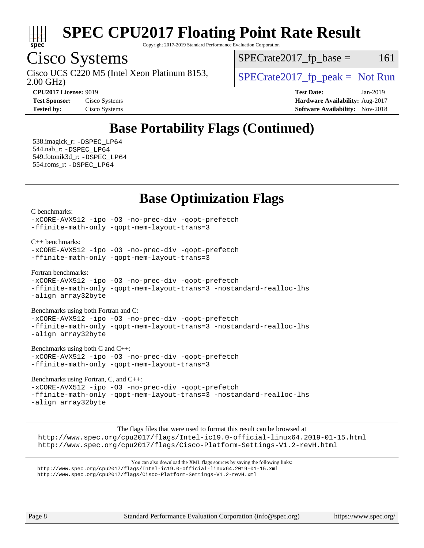

Copyright 2017-2019 Standard Performance Evaluation Corporation

# Cisco Systems

2.00 GHz) Cisco UCS C220 M5 (Intel Xeon Platinum 8153,  $\vert$  [SPECrate2017\\_fp\\_peak =](http://www.spec.org/auto/cpu2017/Docs/result-fields.html#SPECrate2017fppeak) Not Run

 $SPECTate2017<sub>fr</sub> base = 161$ 

| CI 04017 LICCIISC. 7017 |              |
|-------------------------|--------------|
| <b>Test Sponsor:</b>    | Cisco System |
| Tested bv:              | Cisco System |

**[CPU2017 License:](http://www.spec.org/auto/cpu2017/Docs/result-fields.html#CPU2017License)** 9019 **[Test Date:](http://www.spec.org/auto/cpu2017/Docs/result-fields.html#TestDate)** Jan-2019 **[Test Sponsor:](http://www.spec.org/auto/cpu2017/Docs/result-fields.html#TestSponsor)** Cisco Systems **[Hardware Availability:](http://www.spec.org/auto/cpu2017/Docs/result-fields.html#HardwareAvailability)** Aug-2017 **[Tested by:](http://www.spec.org/auto/cpu2017/Docs/result-fields.html#Testedby)** Cisco Systems **[Software Availability:](http://www.spec.org/auto/cpu2017/Docs/result-fields.html#SoftwareAvailability)** Nov-2018

# **[Base Portability Flags \(Continued\)](http://www.spec.org/auto/cpu2017/Docs/result-fields.html#BasePortabilityFlags)**

 538.imagick\_r: [-DSPEC\\_LP64](http://www.spec.org/cpu2017/results/res2019q1/cpu2017-20190122-10817.flags.html#suite_basePORTABILITY538_imagick_r_DSPEC_LP64) 544.nab\_r: [-DSPEC\\_LP64](http://www.spec.org/cpu2017/results/res2019q1/cpu2017-20190122-10817.flags.html#suite_basePORTABILITY544_nab_r_DSPEC_LP64) 549.fotonik3d\_r: [-DSPEC\\_LP64](http://www.spec.org/cpu2017/results/res2019q1/cpu2017-20190122-10817.flags.html#suite_basePORTABILITY549_fotonik3d_r_DSPEC_LP64) 554.roms\_r: [-DSPEC\\_LP64](http://www.spec.org/cpu2017/results/res2019q1/cpu2017-20190122-10817.flags.html#suite_basePORTABILITY554_roms_r_DSPEC_LP64)

### **[Base Optimization Flags](http://www.spec.org/auto/cpu2017/Docs/result-fields.html#BaseOptimizationFlags)**

[C benchmarks](http://www.spec.org/auto/cpu2017/Docs/result-fields.html#Cbenchmarks):

[-xCORE-AVX512](http://www.spec.org/cpu2017/results/res2019q1/cpu2017-20190122-10817.flags.html#user_CCbase_f-xCORE-AVX512) [-ipo](http://www.spec.org/cpu2017/results/res2019q1/cpu2017-20190122-10817.flags.html#user_CCbase_f-ipo) [-O3](http://www.spec.org/cpu2017/results/res2019q1/cpu2017-20190122-10817.flags.html#user_CCbase_f-O3) [-no-prec-div](http://www.spec.org/cpu2017/results/res2019q1/cpu2017-20190122-10817.flags.html#user_CCbase_f-no-prec-div) [-qopt-prefetch](http://www.spec.org/cpu2017/results/res2019q1/cpu2017-20190122-10817.flags.html#user_CCbase_f-qopt-prefetch) [-ffinite-math-only](http://www.spec.org/cpu2017/results/res2019q1/cpu2017-20190122-10817.flags.html#user_CCbase_f_finite_math_only_cb91587bd2077682c4b38af759c288ed7c732db004271a9512da14a4f8007909a5f1427ecbf1a0fb78ff2a814402c6114ac565ca162485bbcae155b5e4258871) [-qopt-mem-layout-trans=3](http://www.spec.org/cpu2017/results/res2019q1/cpu2017-20190122-10817.flags.html#user_CCbase_f-qopt-mem-layout-trans_de80db37974c74b1f0e20d883f0b675c88c3b01e9d123adea9b28688d64333345fb62bc4a798493513fdb68f60282f9a726aa07f478b2f7113531aecce732043)

[C++ benchmarks:](http://www.spec.org/auto/cpu2017/Docs/result-fields.html#CXXbenchmarks)

[-xCORE-AVX512](http://www.spec.org/cpu2017/results/res2019q1/cpu2017-20190122-10817.flags.html#user_CXXbase_f-xCORE-AVX512) [-ipo](http://www.spec.org/cpu2017/results/res2019q1/cpu2017-20190122-10817.flags.html#user_CXXbase_f-ipo) [-O3](http://www.spec.org/cpu2017/results/res2019q1/cpu2017-20190122-10817.flags.html#user_CXXbase_f-O3) [-no-prec-div](http://www.spec.org/cpu2017/results/res2019q1/cpu2017-20190122-10817.flags.html#user_CXXbase_f-no-prec-div) [-qopt-prefetch](http://www.spec.org/cpu2017/results/res2019q1/cpu2017-20190122-10817.flags.html#user_CXXbase_f-qopt-prefetch) [-ffinite-math-only](http://www.spec.org/cpu2017/results/res2019q1/cpu2017-20190122-10817.flags.html#user_CXXbase_f_finite_math_only_cb91587bd2077682c4b38af759c288ed7c732db004271a9512da14a4f8007909a5f1427ecbf1a0fb78ff2a814402c6114ac565ca162485bbcae155b5e4258871) [-qopt-mem-layout-trans=3](http://www.spec.org/cpu2017/results/res2019q1/cpu2017-20190122-10817.flags.html#user_CXXbase_f-qopt-mem-layout-trans_de80db37974c74b1f0e20d883f0b675c88c3b01e9d123adea9b28688d64333345fb62bc4a798493513fdb68f60282f9a726aa07f478b2f7113531aecce732043)

[Fortran benchmarks](http://www.spec.org/auto/cpu2017/Docs/result-fields.html#Fortranbenchmarks):

[-xCORE-AVX512](http://www.spec.org/cpu2017/results/res2019q1/cpu2017-20190122-10817.flags.html#user_FCbase_f-xCORE-AVX512) [-ipo](http://www.spec.org/cpu2017/results/res2019q1/cpu2017-20190122-10817.flags.html#user_FCbase_f-ipo) -03 [-no-prec-div](http://www.spec.org/cpu2017/results/res2019q1/cpu2017-20190122-10817.flags.html#user_FCbase_f-no-prec-div) [-qopt-prefetch](http://www.spec.org/cpu2017/results/res2019q1/cpu2017-20190122-10817.flags.html#user_FCbase_f-qopt-prefetch) [-ffinite-math-only](http://www.spec.org/cpu2017/results/res2019q1/cpu2017-20190122-10817.flags.html#user_FCbase_f_finite_math_only_cb91587bd2077682c4b38af759c288ed7c732db004271a9512da14a4f8007909a5f1427ecbf1a0fb78ff2a814402c6114ac565ca162485bbcae155b5e4258871) [-qopt-mem-layout-trans=3](http://www.spec.org/cpu2017/results/res2019q1/cpu2017-20190122-10817.flags.html#user_FCbase_f-qopt-mem-layout-trans_de80db37974c74b1f0e20d883f0b675c88c3b01e9d123adea9b28688d64333345fb62bc4a798493513fdb68f60282f9a726aa07f478b2f7113531aecce732043) [-nostandard-realloc-lhs](http://www.spec.org/cpu2017/results/res2019q1/cpu2017-20190122-10817.flags.html#user_FCbase_f_2003_std_realloc_82b4557e90729c0f113870c07e44d33d6f5a304b4f63d4c15d2d0f1fab99f5daaed73bdb9275d9ae411527f28b936061aa8b9c8f2d63842963b95c9dd6426b8a) [-align array32byte](http://www.spec.org/cpu2017/results/res2019q1/cpu2017-20190122-10817.flags.html#user_FCbase_align_array32byte_b982fe038af199962ba9a80c053b8342c548c85b40b8e86eb3cc33dee0d7986a4af373ac2d51c3f7cf710a18d62fdce2948f201cd044323541f22fc0fffc51b6)

[Benchmarks using both Fortran and C](http://www.spec.org/auto/cpu2017/Docs/result-fields.html#BenchmarksusingbothFortranandC):

[-xCORE-AVX512](http://www.spec.org/cpu2017/results/res2019q1/cpu2017-20190122-10817.flags.html#user_CC_FCbase_f-xCORE-AVX512) [-ipo](http://www.spec.org/cpu2017/results/res2019q1/cpu2017-20190122-10817.flags.html#user_CC_FCbase_f-ipo) [-O3](http://www.spec.org/cpu2017/results/res2019q1/cpu2017-20190122-10817.flags.html#user_CC_FCbase_f-O3) [-no-prec-div](http://www.spec.org/cpu2017/results/res2019q1/cpu2017-20190122-10817.flags.html#user_CC_FCbase_f-no-prec-div) [-qopt-prefetch](http://www.spec.org/cpu2017/results/res2019q1/cpu2017-20190122-10817.flags.html#user_CC_FCbase_f-qopt-prefetch) [-ffinite-math-only](http://www.spec.org/cpu2017/results/res2019q1/cpu2017-20190122-10817.flags.html#user_CC_FCbase_f_finite_math_only_cb91587bd2077682c4b38af759c288ed7c732db004271a9512da14a4f8007909a5f1427ecbf1a0fb78ff2a814402c6114ac565ca162485bbcae155b5e4258871) [-qopt-mem-layout-trans=3](http://www.spec.org/cpu2017/results/res2019q1/cpu2017-20190122-10817.flags.html#user_CC_FCbase_f-qopt-mem-layout-trans_de80db37974c74b1f0e20d883f0b675c88c3b01e9d123adea9b28688d64333345fb62bc4a798493513fdb68f60282f9a726aa07f478b2f7113531aecce732043) [-nostandard-realloc-lhs](http://www.spec.org/cpu2017/results/res2019q1/cpu2017-20190122-10817.flags.html#user_CC_FCbase_f_2003_std_realloc_82b4557e90729c0f113870c07e44d33d6f5a304b4f63d4c15d2d0f1fab99f5daaed73bdb9275d9ae411527f28b936061aa8b9c8f2d63842963b95c9dd6426b8a) [-align array32byte](http://www.spec.org/cpu2017/results/res2019q1/cpu2017-20190122-10817.flags.html#user_CC_FCbase_align_array32byte_b982fe038af199962ba9a80c053b8342c548c85b40b8e86eb3cc33dee0d7986a4af373ac2d51c3f7cf710a18d62fdce2948f201cd044323541f22fc0fffc51b6)

[Benchmarks using both C and C++](http://www.spec.org/auto/cpu2017/Docs/result-fields.html#BenchmarksusingbothCandCXX):

[-xCORE-AVX512](http://www.spec.org/cpu2017/results/res2019q1/cpu2017-20190122-10817.flags.html#user_CC_CXXbase_f-xCORE-AVX512) [-ipo](http://www.spec.org/cpu2017/results/res2019q1/cpu2017-20190122-10817.flags.html#user_CC_CXXbase_f-ipo) [-O3](http://www.spec.org/cpu2017/results/res2019q1/cpu2017-20190122-10817.flags.html#user_CC_CXXbase_f-O3) [-no-prec-div](http://www.spec.org/cpu2017/results/res2019q1/cpu2017-20190122-10817.flags.html#user_CC_CXXbase_f-no-prec-div) [-qopt-prefetch](http://www.spec.org/cpu2017/results/res2019q1/cpu2017-20190122-10817.flags.html#user_CC_CXXbase_f-qopt-prefetch) [-ffinite-math-only](http://www.spec.org/cpu2017/results/res2019q1/cpu2017-20190122-10817.flags.html#user_CC_CXXbase_f_finite_math_only_cb91587bd2077682c4b38af759c288ed7c732db004271a9512da14a4f8007909a5f1427ecbf1a0fb78ff2a814402c6114ac565ca162485bbcae155b5e4258871) [-qopt-mem-layout-trans=3](http://www.spec.org/cpu2017/results/res2019q1/cpu2017-20190122-10817.flags.html#user_CC_CXXbase_f-qopt-mem-layout-trans_de80db37974c74b1f0e20d883f0b675c88c3b01e9d123adea9b28688d64333345fb62bc4a798493513fdb68f60282f9a726aa07f478b2f7113531aecce732043)

[Benchmarks using Fortran, C, and C++:](http://www.spec.org/auto/cpu2017/Docs/result-fields.html#BenchmarksusingFortranCandCXX)

[-xCORE-AVX512](http://www.spec.org/cpu2017/results/res2019q1/cpu2017-20190122-10817.flags.html#user_CC_CXX_FCbase_f-xCORE-AVX512) [-ipo](http://www.spec.org/cpu2017/results/res2019q1/cpu2017-20190122-10817.flags.html#user_CC_CXX_FCbase_f-ipo) [-O3](http://www.spec.org/cpu2017/results/res2019q1/cpu2017-20190122-10817.flags.html#user_CC_CXX_FCbase_f-O3) [-no-prec-div](http://www.spec.org/cpu2017/results/res2019q1/cpu2017-20190122-10817.flags.html#user_CC_CXX_FCbase_f-no-prec-div) [-qopt-prefetch](http://www.spec.org/cpu2017/results/res2019q1/cpu2017-20190122-10817.flags.html#user_CC_CXX_FCbase_f-qopt-prefetch) [-ffinite-math-only](http://www.spec.org/cpu2017/results/res2019q1/cpu2017-20190122-10817.flags.html#user_CC_CXX_FCbase_f_finite_math_only_cb91587bd2077682c4b38af759c288ed7c732db004271a9512da14a4f8007909a5f1427ecbf1a0fb78ff2a814402c6114ac565ca162485bbcae155b5e4258871) [-qopt-mem-layout-trans=3](http://www.spec.org/cpu2017/results/res2019q1/cpu2017-20190122-10817.flags.html#user_CC_CXX_FCbase_f-qopt-mem-layout-trans_de80db37974c74b1f0e20d883f0b675c88c3b01e9d123adea9b28688d64333345fb62bc4a798493513fdb68f60282f9a726aa07f478b2f7113531aecce732043) [-nostandard-realloc-lhs](http://www.spec.org/cpu2017/results/res2019q1/cpu2017-20190122-10817.flags.html#user_CC_CXX_FCbase_f_2003_std_realloc_82b4557e90729c0f113870c07e44d33d6f5a304b4f63d4c15d2d0f1fab99f5daaed73bdb9275d9ae411527f28b936061aa8b9c8f2d63842963b95c9dd6426b8a) [-align array32byte](http://www.spec.org/cpu2017/results/res2019q1/cpu2017-20190122-10817.flags.html#user_CC_CXX_FCbase_align_array32byte_b982fe038af199962ba9a80c053b8342c548c85b40b8e86eb3cc33dee0d7986a4af373ac2d51c3f7cf710a18d62fdce2948f201cd044323541f22fc0fffc51b6)

The flags files that were used to format this result can be browsed at <http://www.spec.org/cpu2017/flags/Intel-ic19.0-official-linux64.2019-01-15.html> <http://www.spec.org/cpu2017/flags/Cisco-Platform-Settings-V1.2-revH.html>

You can also download the XML flags sources by saving the following links: <http://www.spec.org/cpu2017/flags/Intel-ic19.0-official-linux64.2019-01-15.xml> <http://www.spec.org/cpu2017/flags/Cisco-Platform-Settings-V1.2-revH.xml>